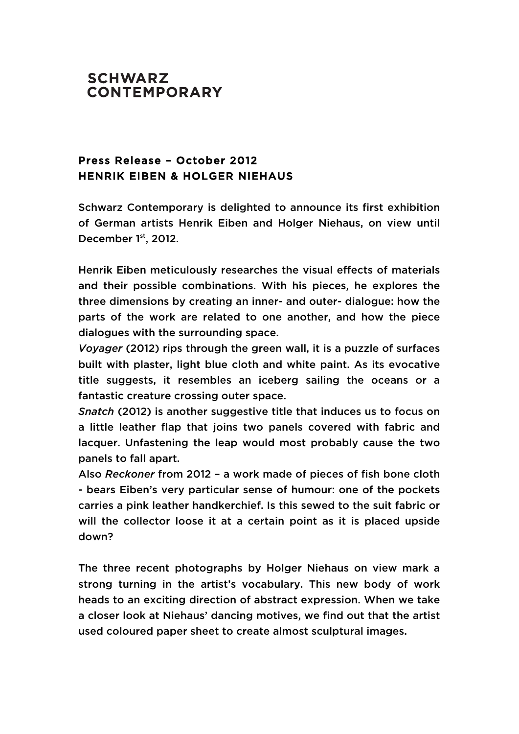## **SCHWARZ CONTEMPORARY**

## Press Release – October 2012 HENRIK EIBEN & HOLGER NIEHAUS

Schwarz Contemporary is delighted to announce its first exhibition of German artists Henrik Eiben and Holger Niehaus, on view until December 1<sup>st</sup>, 2012.

Henrik Eiben meticulously researches the visual effects of materials and their possible combinations. With his pieces, he explores the three dimensions by creating an inner- and outer- dialogue: how the parts of the work are related to one another, and how the piece dialogues with the surrounding space.

*Voyager* (2012) rips through the green wall, it is a puzzle of surfaces built with plaster, light blue cloth and white paint. As its evocative title suggests, it resembles an iceberg sailing the oceans or a fantastic creature crossing outer space.

*Snatch* (2012) is another suggestive title that induces us to focus on a little leather flap that joins two panels covered with fabric and lacquer. Unfastening the leap would most probably cause the two panels to fall apart.

Also *Reckoner* from 2012 – a work made of pieces of fish bone cloth - bears Eiben's very particular sense of humour: one of the pockets carries a pink leather handkerchief. Is this sewed to the suit fabric or will the collector loose it at a certain point as it is placed upside down?

The three recent photographs by Holger Niehaus on view mark a strong turning in the artist's vocabulary. This new body of work heads to an exciting direction of abstract expression. When we take a closer look at Niehaus' dancing motives, we find out that the artist used coloured paper sheet to create almost sculptural images.